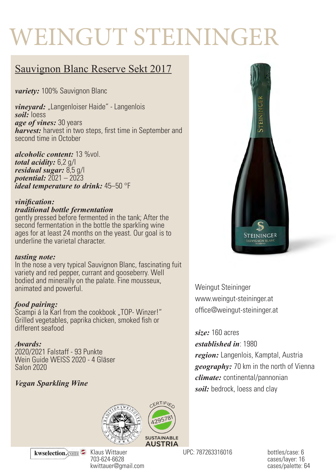# WEINGUT STEININGER

## Sauvignon Blanc Reserve Sekt 2017

*variety:* 100% Sauvignon Blanc

*vineyard:* "Langenloiser Haide" - Langenlois *soil:* loess *age of vines:* 30 years *harvest:* harvest in two steps, first time in September and second time in October

*alcoholic content:* 13 %vol. *total acidity:* 6,2 g/l *residual sugar:* 8,5 g/l *potential:* 2021 – 2023 *ideal temperature to drink:* 45–50 °F

#### *vinification:*

#### *traditional bottle fermentation*

gently pressed before fermented in the tank; After the second fermentation in the bottle the sparkling wine ages for at least 24 months on the yeast. Our goal is to underline the varietal character.

#### *tasting note:*

In the nose a very typical Sauvignon Blanc, fascinating fuit variety and red pepper, currant and gooseberry. Well bodied and minerally on the palate. Fine mousseux, animated and powerful.

#### *food pairing:*

Scampi á la Karl from the cookbook "TOP-Winzer!" Grilled vegetables, paprika chicken, smoked fish or different seafood

#### *Awards:*

2020/2021 Falstaff - 93 Punkte Wein Guide WEISS 2020 - 4 Gläser Salon 2020

#### *Vegan Sparkling Wine*





Weingut Steininger www.weingut-steininger.at office@weingut-steininger.at

#### *size:* 160 acres

*established in*: 1980

*region:* Langenlois, Kamptal, Austria *geography:* 70 km in the north of Vienna *climate:* continental/pannonian *soil:* bedrock, loess and clay

UPC: 787263316016 bottles/case: 6

cases/layer: 16 cases/palette: 64



703-624-6628 kwittauer@gmail.com